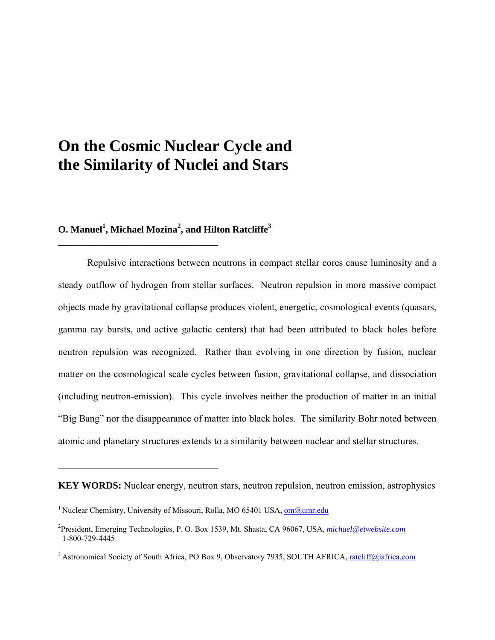# **On the Cosmic Nuclear Cycle and the Similarity of Nuclei and Stars**

# $O$ . Manuel<sup>1</sup>, Michael Mozina<sup>2</sup>, and Hilton Ratcliffe<sup>3</sup>

\_\_\_\_\_\_\_\_\_\_\_\_\_\_\_\_\_\_\_\_\_\_\_\_\_\_\_\_\_\_\_\_\_

 $\mathcal{L}_\text{max}$ 

Repulsive interactions between neutrons in compact stellar cores cause luminosity and a steady outflow of hydrogen from stellar surfaces. Neutron repulsion in more massive compact objects made by gravitational collapse produces violent, energetic, cosmological events (quasars, gamma ray bursts, and active galactic centers) that had been attributed to black holes before neutron repulsion was recognized. Rather than evolving in one direction by fusion, nuclear matter on the cosmological scale cycles between fusion, gravitational collapse, and dissociation (including neutron-emission). This cycle involves neither the production of matter in an initial "Big Bang" nor the disappearance of matter into black holes. The similarity Bohr noted between atomic and planetary structures extends to a similarity between nuclear and stellar structures.

**KEY WORDS:** Nuclear energy, neutron stars, neutron repulsion, neutron emission, astrophysics

<sup>&</sup>lt;sup>1</sup> Nuclear Chemistry, University of Missouri, Rolla, MO 65401 USA, [om@umr.edu](mailto:om@umr.edu)

<sup>2</sup> President, Emerging Technologies, P. O. Box 1539, Mt. Shasta, CA 96067, USA, *[michael@etwebsite.com](mailto:michael@etwebsite.com)* 1-800-729-4445

<sup>&</sup>lt;sup>3</sup> Astronomical Society of South Africa, PO Box 9, Observatory 7935, SOUTH AFRICA, [ratcliff@iafrica.com](mailto:ratcliff@iafrica.com)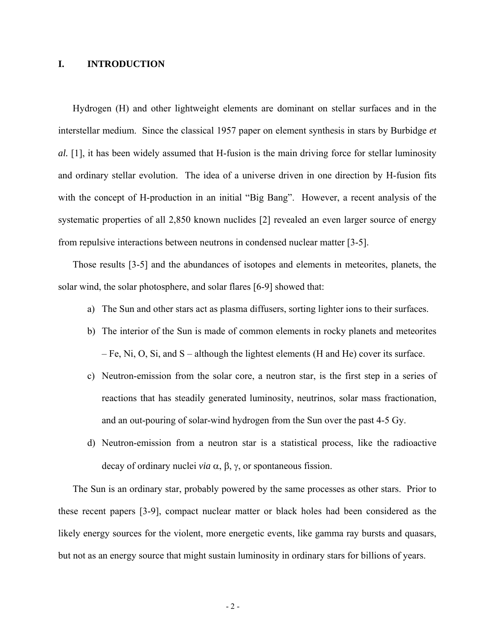# **I. INTRODUCTION**

Hydrogen (H) and other lightweight elements are dominant on stellar surfaces and in the interstellar medium. Since the classical 1957 paper on element synthesis in stars by Burbidge *et al.* [1], it has been widely assumed that H-fusion is the main driving force for stellar luminosity and ordinary stellar evolution. The idea of a universe driven in one direction by H-fusion fits with the concept of H-production in an initial "Big Bang". However, a recent analysis of the systematic properties of all 2,850 known nuclides [2] revealed an even larger source of energy from repulsive interactions between neutrons in condensed nuclear matter [3-5].

Those results [3-5] and the abundances of isotopes and elements in meteorites, planets, the solar wind, the solar photosphere, and solar flares [6-9] showed that:

- a) The Sun and other stars act as plasma diffusers, sorting lighter ions to their surfaces.
- b) The interior of the Sun is made of common elements in rocky planets and meteorites – Fe, Ni, O, Si, and S – although the lightest elements (H and He) cover its surface.
- c) Neutron-emission from the solar core, a neutron star, is the first step in a series of reactions that has steadily generated luminosity, neutrinos, solar mass fractionation, and an out-pouring of solar-wind hydrogen from the Sun over the past 4-5 Gy.
- d) Neutron-emission from a neutron star is a statistical process, like the radioactive decay of ordinary nuclei *via* α, β, γ, or spontaneous fission.

The Sun is an ordinary star, probably powered by the same processes as other stars. Prior to these recent papers [3-9], compact nuclear matter or black holes had been considered as the likely energy sources for the violent, more energetic events, like gamma ray bursts and quasars, but not as an energy source that might sustain luminosity in ordinary stars for billions of years.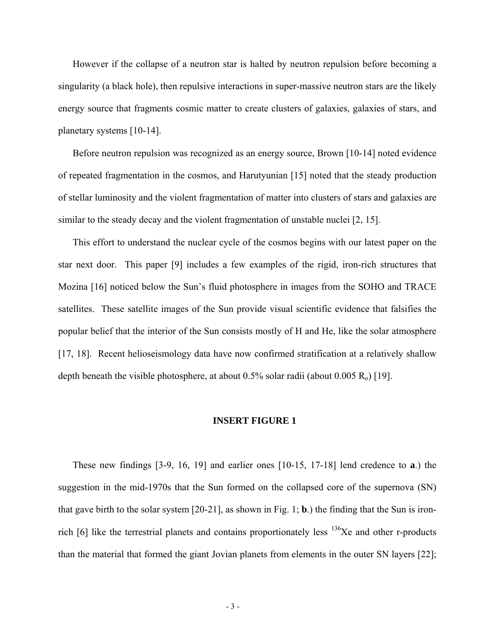However if the collapse of a neutron star is halted by neutron repulsion before becoming a singularity (a black hole), then repulsive interactions in super-massive neutron stars are the likely energy source that fragments cosmic matter to create clusters of galaxies, galaxies of stars, and planetary systems [10-14].

Before neutron repulsion was recognized as an energy source, Brown [10-14] noted evidence of repeated fragmentation in the cosmos, and Harutyunian [15] noted that the steady production of stellar luminosity and the violent fragmentation of matter into clusters of stars and galaxies are similar to the steady decay and the violent fragmentation of unstable nuclei [2, 15].

This effort to understand the nuclear cycle of the cosmos begins with our latest paper on the star next door. This paper [9] includes a few examples of the rigid, iron-rich structures that Mozina [16] noticed below the Sun's fluid photosphere in images from the SOHO and TRACE satellites. These satellite images of the Sun provide visual scientific evidence that falsifies the popular belief that the interior of the Sun consists mostly of H and He, like the solar atmosphere [17, 18]. Recent helioseismology data have now confirmed stratification at a relatively shallow depth beneath the visible photosphere, at about  $0.5\%$  solar radii (about  $0.005 R_0$ ) [19].

#### **INSERT FIGURE 1**

These new findings [3-9, 16, 19] and earlier ones [10-15, 17-18] lend credence to **a**.) the suggestion in the mid-1970s that the Sun formed on the collapsed core of the supernova (SN) that gave birth to the solar system [20-21], as shown in Fig. 1; **b**.) the finding that the Sun is ironrich [6] like the terrestrial planets and contains proportionately less  $136Xe$  and other r-products than the material that formed the giant Jovian planets from elements in the outer SN layers [22];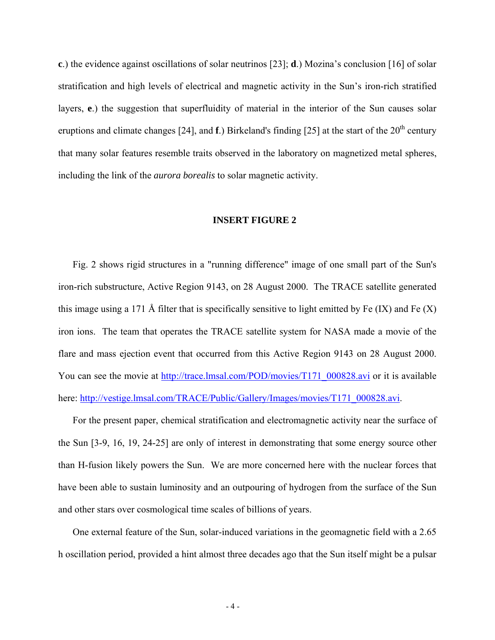**c**.) the evidence against oscillations of solar neutrinos [23]; **d**.) Mozina's conclusion [16] of solar stratification and high levels of electrical and magnetic activity in the Sun's iron-rich stratified layers, **e**.) the suggestion that superfluidity of material in the interior of the Sun causes solar eruptions and climate changes [24], and **f**.) Birkeland's finding [25] at the start of the 20<sup>th</sup> century that many solar features resemble traits observed in the laboratory on magnetized metal spheres, including the link of the *aurora borealis* to solar magnetic activity.

#### **INSERT FIGURE 2**

Fig. 2 shows rigid structures in a "running difference" image of one small part of the Sun's iron-rich substructure, Active Region 9143, on 28 August 2000. The TRACE satellite generated this image using a 171 Å filter that is specifically sensitive to light emitted by Fe  $(IX)$  and Fe  $(X)$ iron ions. The team that operates the TRACE satellite system for NASA made a movie of the flare and mass ejection event that occurred from this Active Region 9143 on 28 August 2000. You can see the movie at [http://trace.lmsal.com/POD/movies/T171\\_000828.avi](http://trace.lmsal.com/POD/movies/T171_000828.avi) or it is available here: [http://vestige.lmsal.com/TRACE/Public/Gallery/Images/movies/T171\\_000828.avi.](http://vestige.lmsal.com/TRACE/Public/Gallery/Images/movies/T171_000828.avi)

For the present paper, chemical stratification and electromagnetic activity near the surface of the Sun [3-9, 16, 19, 24-25] are only of interest in demonstrating that some energy source other than H-fusion likely powers the Sun. We are more concerned here with the nuclear forces that have been able to sustain luminosity and an outpouring of hydrogen from the surface of the Sun and other stars over cosmological time scales of billions of years.

One external feature of the Sun, solar-induced variations in the geomagnetic field with a 2.65 h oscillation period, provided a hint almost three decades ago that the Sun itself might be a pulsar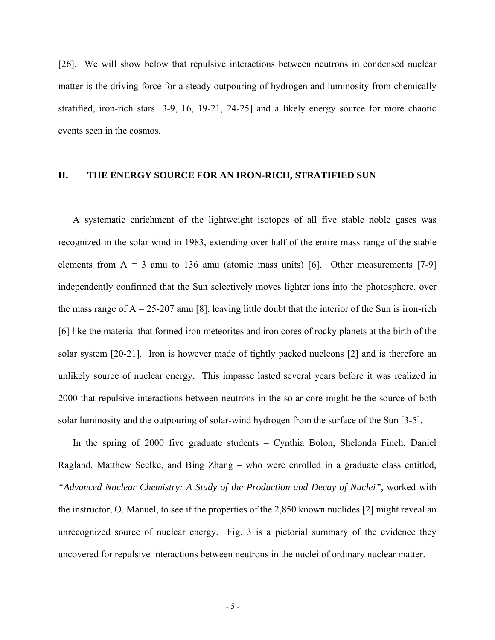[26]. We will show below that repulsive interactions between neutrons in condensed nuclear matter is the driving force for a steady outpouring of hydrogen and luminosity from chemically stratified, iron-rich stars [3-9, 16, 19-21, 24-25] and a likely energy source for more chaotic events seen in the cosmos.

# **II. THE ENERGY SOURCE FOR AN IRON-RICH, STRATIFIED SUN**

A systematic enrichment of the lightweight isotopes of all five stable noble gases was recognized in the solar wind in 1983, extending over half of the entire mass range of the stable elements from  $A = 3$  amu to 136 amu (atomic mass units) [6]. Other measurements [7-9] independently confirmed that the Sun selectively moves lighter ions into the photosphere, over the mass range of  $A = 25-207$  amu [8], leaving little doubt that the interior of the Sun is iron-rich [6] like the material that formed iron meteorites and iron cores of rocky planets at the birth of the solar system [20-21]. Iron is however made of tightly packed nucleons [2] and is therefore an unlikely source of nuclear energy. This impasse lasted several years before it was realized in 2000 that repulsive interactions between neutrons in the solar core might be the source of both solar luminosity and the outpouring of solar-wind hydrogen from the surface of the Sun [3-5].

In the spring of 2000 five graduate students – Cynthia Bolon, Shelonda Finch, Daniel Ragland, Matthew Seelke, and Bing Zhang – who were enrolled in a graduate class entitled, *"Advanced Nuclear Chemistry: A Study of the Production and Decay of Nuclei",* worked with the instructor, O. Manuel, to see if the properties of the 2,850 known nuclides [2] might reveal an unrecognized source of nuclear energy. Fig. 3 is a pictorial summary of the evidence they uncovered for repulsive interactions between neutrons in the nuclei of ordinary nuclear matter.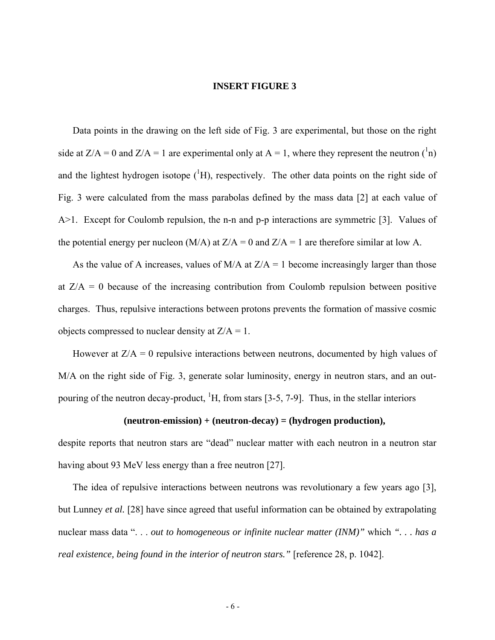#### **INSERT FIGURE 3**

Data points in the drawing on the left side of Fig. 3 are experimental, but those on the right side at  $Z/A = 0$  and  $Z/A = 1$  are experimental only at A = 1, where they represent the neutron  $\binom{1}{1}$ and the lightest hydrogen isotope  $({}^{1}H)$ , respectively. The other data points on the right side of Fig. 3 were calculated from the mass parabolas defined by the mass data [2] at each value of A>1. Except for Coulomb repulsion, the n-n and p-p interactions are symmetric [3]. Values of the potential energy per nucleon (M/A) at  $Z/A = 0$  and  $Z/A = 1$  are therefore similar at low A.

As the value of A increases, values of  $M/A$  at  $Z/A = 1$  become increasingly larger than those at  $Z/A = 0$  because of the increasing contribution from Coulomb repulsion between positive charges. Thus, repulsive interactions between protons prevents the formation of massive cosmic objects compressed to nuclear density at  $Z/A = 1$ .

However at  $Z/A = 0$  repulsive interactions between neutrons, documented by high values of M/A on the right side of Fig. 3, generate solar luminosity, energy in neutron stars, and an outpouring of the neutron decay-product,  ${}^{1}H$ , from stars [3-5, 7-9]. Thus, in the stellar interiors

#### **(neutron-emission) + (neutron-decay) = (hydrogen production),**

despite reports that neutron stars are "dead" nuclear matter with each neutron in a neutron star having about 93 MeV less energy than a free neutron [27].

The idea of repulsive interactions between neutrons was revolutionary a few years ago [3], but Lunney *et al.* [28] have since agreed that useful information can be obtained by extrapolating nuclear mass data ". . . *out to homogeneous or infinite nuclear matter (INM)"* which *". . . has a real existence, being found in the interior of neutron stars."* [reference 28, p. 1042].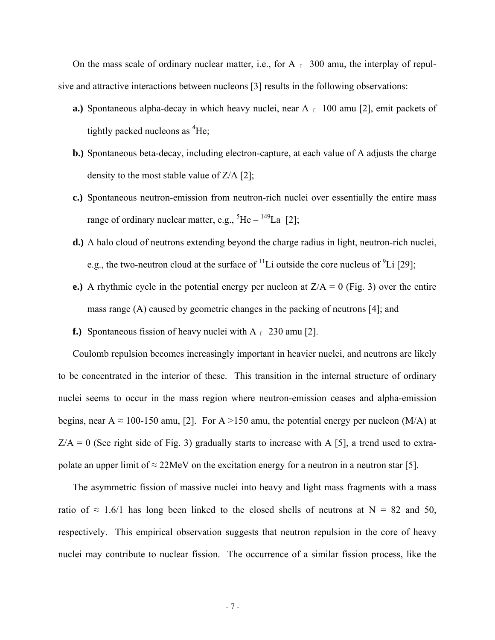On the mass scale of ordinary nuclear matter, i.e., for A  $\epsilon$  300 amu, the interplay of repulsive and attractive interactions between nucleons [3] results in the following observations:

- **a.**) Spontaneous alpha-decay in which heavy nuclei, near  $A_{\text{r}}$  100 amu [2], emit packets of tightly packed nucleons as <sup>4</sup>He;
- **b.)** Spontaneous beta-decay, including electron-capture, at each value of A adjusts the charge density to the most stable value of  $Z/A$  [2];
- **c.)** Spontaneous neutron-emission from neutron-rich nuclei over essentially the entire mass range of ordinary nuclear matter, e.g.,  ${}^{5}$ He –  ${}^{149}$ La [2];
- **d.)** A halo cloud of neutrons extending beyond the charge radius in light, neutron-rich nuclei, e.g., the two-neutron cloud at the surface of  $\rm{^{11}Li}$  outside the core nucleus of  $\rm{^{9}Li}$  [29];
- **e.**) A rhythmic cycle in the potential energy per nucleon at  $Z/A = 0$  (Fig. 3) over the entire mass range (A) caused by geometric changes in the packing of neutrons [4]; and
- **f.**) Spontaneous fission of heavy nuclei with  $A \rightharpoondown 230$  amu [2].

Coulomb repulsion becomes increasingly important in heavier nuclei, and neutrons are likely to be concentrated in the interior of these. This transition in the internal structure of ordinary nuclei seems to occur in the mass region where neutron-emission ceases and alpha-emission begins, near A  $\approx$  100-150 amu, [2]. For A >150 amu, the potential energy per nucleon (M/A) at  $Z/A = 0$  (See right side of Fig. 3) gradually starts to increase with A [5], a trend used to extrapolate an upper limit of  $\approx$  22MeV on the excitation energy for a neutron in a neutron star [5].

The asymmetric fission of massive nuclei into heavy and light mass fragments with a mass ratio of  $\approx 1.6/1$  has long been linked to the closed shells of neutrons at N = 82 and 50, respectively. This empirical observation suggests that neutron repulsion in the core of heavy nuclei may contribute to nuclear fission. The occurrence of a similar fission process, like the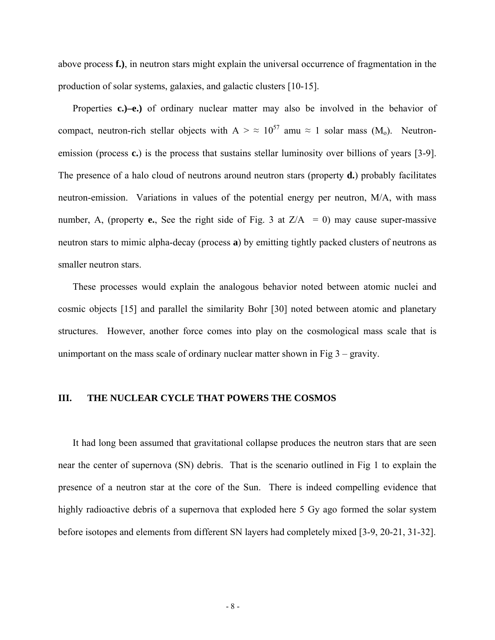above process **f.)**, in neutron stars might explain the universal occurrence of fragmentation in the production of solar systems, galaxies, and galactic clusters [10-15].

Properties **c.)–e.)** of ordinary nuclear matter may also be involved in the behavior of compact, neutron-rich stellar objects with  $A > \approx 10^{57}$  amu  $\approx 1$  solar mass (M<sub>0</sub>). Neutronemission (process **c.**) is the process that sustains stellar luminosity over billions of years [3-9]. The presence of a halo cloud of neutrons around neutron stars (property **d.**) probably facilitates neutron-emission. Variations in values of the potential energy per neutron, M/A, with mass number, A, (property **e.**, See the right side of Fig. 3 at  $Z/A = 0$ ) may cause super-massive neutron stars to mimic alpha-decay (process **a**) by emitting tightly packed clusters of neutrons as smaller neutron stars.

These processes would explain the analogous behavior noted between atomic nuclei and cosmic objects [15] and parallel the similarity Bohr [30] noted between atomic and planetary structures. However, another force comes into play on the cosmological mass scale that is unimportant on the mass scale of ordinary nuclear matter shown in Fig  $3 -$  gravity.

## **III. THE NUCLEAR CYCLE THAT POWERS THE COSMOS**

It had long been assumed that gravitational collapse produces the neutron stars that are seen near the center of supernova (SN) debris. That is the scenario outlined in Fig 1 to explain the presence of a neutron star at the core of the Sun. There is indeed compelling evidence that highly radioactive debris of a supernova that exploded here 5 Gy ago formed the solar system before isotopes and elements from different SN layers had completely mixed [3-9, 20-21, 31-32].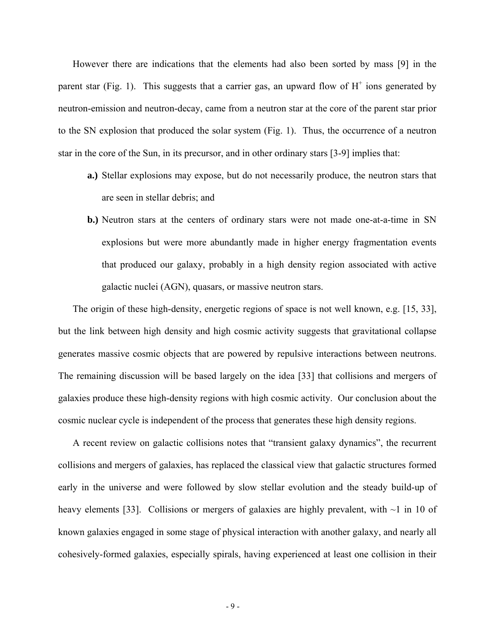However there are indications that the elements had also been sorted by mass [9] in the parent star (Fig. 1). This suggests that a carrier gas, an upward flow of  $H^+$  ions generated by neutron-emission and neutron-decay, came from a neutron star at the core of the parent star prior to the SN explosion that produced the solar system (Fig. 1). Thus, the occurrence of a neutron star in the core of the Sun, in its precursor, and in other ordinary stars [3-9] implies that:

- **a.)** Stellar explosions may expose, but do not necessarily produce, the neutron stars that are seen in stellar debris; and
- **b.)** Neutron stars at the centers of ordinary stars were not made one-at-a-time in SN explosions but were more abundantly made in higher energy fragmentation events that produced our galaxy, probably in a high density region associated with active galactic nuclei (AGN), quasars, or massive neutron stars.

The origin of these high-density, energetic regions of space is not well known, e.g. [15, 33], but the link between high density and high cosmic activity suggests that gravitational collapse generates massive cosmic objects that are powered by repulsive interactions between neutrons. The remaining discussion will be based largely on the idea [33] that collisions and mergers of galaxies produce these high-density regions with high cosmic activity. Our conclusion about the cosmic nuclear cycle is independent of the process that generates these high density regions.

A recent review on galactic collisions notes that "transient galaxy dynamics", the recurrent collisions and mergers of galaxies, has replaced the classical view that galactic structures formed early in the universe and were followed by slow stellar evolution and the steady build-up of heavy elements [33]. Collisions or mergers of galaxies are highly prevalent, with  $\sim$ 1 in 10 of known galaxies engaged in some stage of physical interaction with another galaxy, and nearly all cohesively-formed galaxies, especially spirals, having experienced at least one collision in their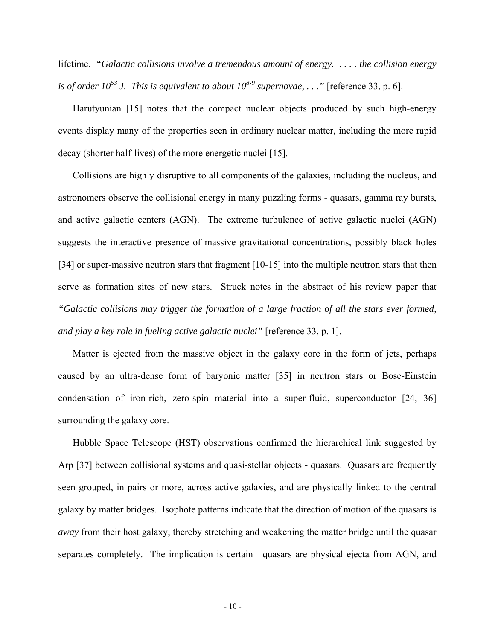lifetime. *"Galactic collisions involve a tremendous amount of energy. . . . . the collision energy is of order 10*<sup>53</sup> J. This is equivalent to about  $10^{8.9}$  supernovae, . . ." [reference 33, p. 6].

Harutyunian [15] notes that the compact nuclear objects produced by such high-energy events display many of the properties seen in ordinary nuclear matter, including the more rapid decay (shorter half-lives) of the more energetic nuclei [15].

Collisions are highly disruptive to all components of the galaxies, including the nucleus, and astronomers observe the collisional energy in many puzzling forms - quasars, gamma ray bursts, and active galactic centers (AGN). The extreme turbulence of active galactic nuclei (AGN) suggests the interactive presence of massive gravitational concentrations, possibly black holes [34] or super-massive neutron stars that fragment [10-15] into the multiple neutron stars that then serve as formation sites of new stars. Struck notes in the abstract of his review paper that *"Galactic collisions may trigger the formation of a large fraction of all the stars ever formed, and play a key role in fueling active galactic nuclei"* [reference 33, p. 1].

Matter is ejected from the massive object in the galaxy core in the form of jets, perhaps caused by an ultra-dense form of baryonic matter [35] in neutron stars or Bose-Einstein condensation of iron-rich, zero-spin material into a super-fluid, superconductor [24, 36] surrounding the galaxy core.

Hubble Space Telescope (HST) observations confirmed the hierarchical link suggested by Arp [37] between collisional systems and quasi-stellar objects - quasars. Quasars are frequently seen grouped, in pairs or more, across active galaxies, and are physically linked to the central galaxy by matter bridges. Isophote patterns indicate that the direction of motion of the quasars is *away* from their host galaxy, thereby stretching and weakening the matter bridge until the quasar separates completely. The implication is certain—quasars are physical ejecta from AGN, and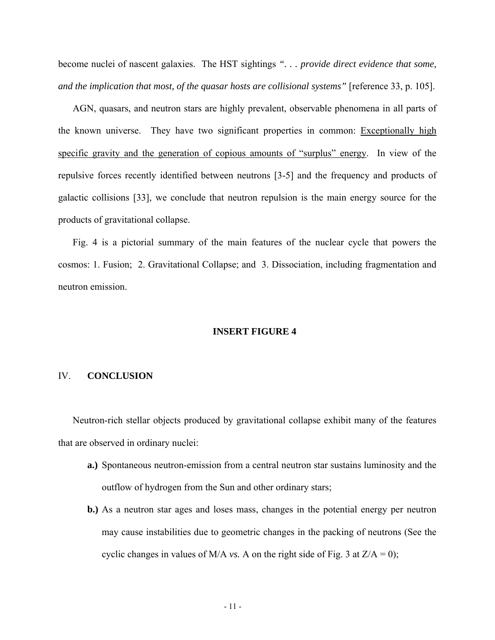become nuclei of nascent galaxies. The HST sightings *". . . provide direct evidence that some, and the implication that most, of the quasar hosts are collisional systems"* [reference 33, p. 105].

AGN, quasars, and neutron stars are highly prevalent, observable phenomena in all parts of the known universe. They have two significant properties in common: Exceptionally high specific gravity and the generation of copious amounts of "surplus" energy. In view of the repulsive forces recently identified between neutrons [3-5] and the frequency and products of galactic collisions [33], we conclude that neutron repulsion is the main energy source for the products of gravitational collapse.

Fig. 4 is a pictorial summary of the main features of the nuclear cycle that powers the cosmos: 1. Fusion; 2. Gravitational Collapse; and 3. Dissociation, including fragmentation and neutron emission.

#### **INSERT FIGURE 4**

#### IV. **CONCLUSION**

Neutron-rich stellar objects produced by gravitational collapse exhibit many of the features that are observed in ordinary nuclei:

- **a.)** Spontaneous neutron-emission from a central neutron star sustains luminosity and the outflow of hydrogen from the Sun and other ordinary stars;
- **b.)** As a neutron star ages and loses mass, changes in the potential energy per neutron may cause instabilities due to geometric changes in the packing of neutrons (See the cyclic changes in values of M/A *vs.* A on the right side of Fig. 3 at  $Z/A = 0$ ;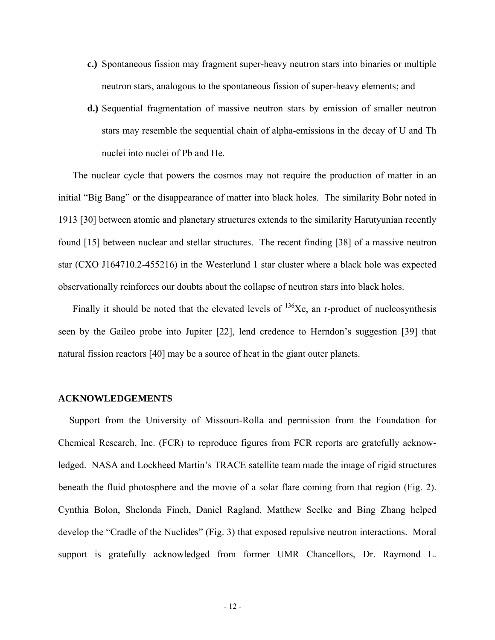- **c.)** Spontaneous fission may fragment super-heavy neutron stars into binaries or multiple neutron stars, analogous to the spontaneous fission of super-heavy elements; and
- **d.)** Sequential fragmentation of massive neutron stars by emission of smaller neutron stars may resemble the sequential chain of alpha-emissions in the decay of U and Th nuclei into nuclei of Pb and He.

The nuclear cycle that powers the cosmos may not require the production of matter in an initial "Big Bang" or the disappearance of matter into black holes. The similarity Bohr noted in 1913 [30] between atomic and planetary structures extends to the similarity Harutyunian recently found [15] between nuclear and stellar structures. The recent finding [38] of a massive neutron star (CXO J164710.2-455216) in the Westerlund 1 star cluster where a black hole was expected observationally reinforces our doubts about the collapse of neutron stars into black holes.

Finally it should be noted that the elevated levels of  $^{136}Xe$ , an r-product of nucleosynthesis seen by the Gaileo probe into Jupiter [22], lend credence to Herndon's suggestion [39] that natural fission reactors [40] may be a source of heat in the giant outer planets.

#### **ACKNOWLEDGEMENTS**

Support from the University of Missouri-Rolla and permission from the Foundation for Chemical Research, Inc. (FCR) to reproduce figures from FCR reports are gratefully acknowledged. NASA and Lockheed Martin's TRACE satellite team made the image of rigid structures beneath the fluid photosphere and the movie of a solar flare coming from that region (Fig. 2). Cynthia Bolon, Shelonda Finch, Daniel Ragland, Matthew Seelke and Bing Zhang helped develop the "Cradle of the Nuclides" (Fig. 3) that exposed repulsive neutron interactions. Moral support is gratefully acknowledged from former UMR Chancellors, Dr. Raymond L.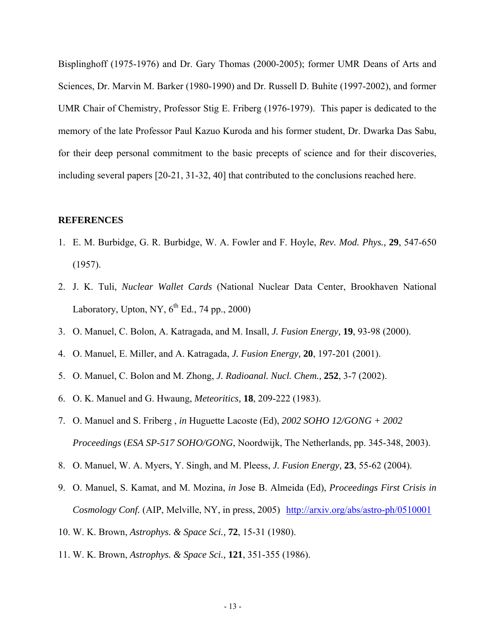Bisplinghoff (1975-1976) and Dr. Gary Thomas (2000-2005); former UMR Deans of Arts and Sciences, Dr. Marvin M. Barker (1980-1990) and Dr. Russell D. Buhite (1997-2002), and former UMR Chair of Chemistry, Professor Stig E. Friberg (1976-1979). This paper is dedicated to the memory of the late Professor Paul Kazuo Kuroda and his former student, Dr. Dwarka Das Sabu, for their deep personal commitment to the basic precepts of science and for their discoveries, including several papers [20-21, 31-32, 40] that contributed to the conclusions reached here.

### **REFERENCES**

- 1. E. M. Burbidge, G. R. Burbidge, W. A. Fowler and F. Hoyle, *Rev. Mod. Phys.,* **29**, 547-650 (1957).
- 2. J. K. Tuli, *Nuclear Wallet Cards* (National Nuclear Data Center, Brookhaven National Laboratory, Upton, NY,  $6^{th}$  Ed., 74 pp., 2000)
- 3. O. Manuel, C. Bolon, A. Katragada, and M. Insall, *J. Fusion Energy,* **19**, 93-98 (2000).
- 4. O. Manuel, E. Miller, and A. Katragada, *J. Fusion Energy,* **20**, 197-201 (2001).
- 5. O. Manuel, C. Bolon and M. Zhong, *J. Radioanal. Nucl. Chem.,* **252**, 3-7 (2002).
- 6. O. K. Manuel and G. Hwaung, *Meteoritics,* **18**, 209-222 (1983).
- 7. O. Manuel and S. Friberg , *in* Huguette Lacoste (Ed), *2002 SOHO 12/GONG + 2002 Proceedings* (*ESA SP-517 SOHO/GONG*, Noordwijk, The Netherlands, pp. 345-348, 2003).
- 8. O. Manuel, W. A. Myers, Y. Singh, and M. Pleess, *J. Fusion Energy,* **23**, 55-62 (2004).
- 9. O. Manuel, S. Kamat, and M. Mozina, *in* Jose B. Almeida (Ed), *Proceedings First Crisis in Cosmology Conf.* (AIP, Melville, NY, in press, 2005) <http://arxiv.org/abs/astro-ph/0510001>
- 10. W. K. Brown, *Astrophys. & Space Sci.,* **72**, 15-31 (1980).
- 11. W. K. Brown, *Astrophys. & Space Sci.,* **121**, 351-355 (1986).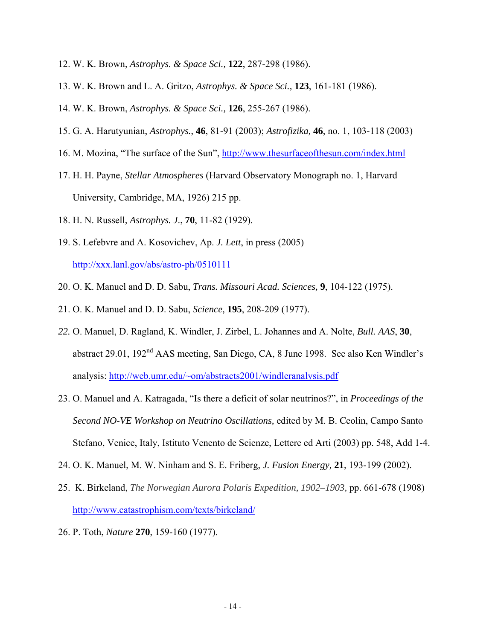- 12. W. K. Brown, *Astrophys. & Space Sci.,* **122**, 287-298 (1986).
- 13. W. K. Brown and L. A. Gritzo, *Astrophys. & Space Sci.,* **123**, 161-181 (1986).
- 14. W. K. Brown, *Astrophys. & Space Sci.,* **126**, 255-267 (1986).
- 15. G. A. Harutyunian, *Astrophys.*, **46**, 81-91 (2003); *Astrofizika,* **46**, no. 1, 103-118 (2003)
- 16. M. Mozina, "The surface of the Sun", <http://www.thesurfaceofthesun.com/index.html>
- 17. H. H. Payne, *Stellar Atmospheres* (Harvard Observatory Monograph no. 1, Harvard University, Cambridge, MA, 1926) 215 pp.
- 18. H. N. Russell*, Astrophys. J*., **70**, 11-82 (1929).
- 19. S. Lefebvre and A. Kosovichev, Ap. *J. Lett*, in press (2005) <http://xxx.lanl.gov/abs/astro-ph/0510111>
- 20. O. K. Manuel and D. D. Sabu, *Trans. Missouri Acad. Sciences,* **9**, 104-122 (1975).
- 21. O. K. Manuel and D. D. Sabu, *Science,* **195**, 208-209 (1977).
- *22.* O. Manuel, D. Ragland, K. Windler, J. Zirbel, L. Johannes and A. Nolte, *Bull. AAS*, **30**, abstract 29.01, 192nd AAS meeting, San Diego, CA, 8 June 1998. See also Ken Windler's analysis:<http://web.umr.edu/~om/abstracts2001/windleranalysis.pdf>
- 23. O. Manuel and A. Katragada, "Is there a deficit of solar neutrinos?", in *Proceedings of the Second NO-VE Workshop on Neutrino Oscillations,* edited by M. B. Ceolin, Campo Santo Stefano, Venice, Italy, Istituto Venento de Scienze, Lettere ed Arti (2003) pp. 548, Add 1-4.
- 24. O. K. Manuel, M. W. Ninham and S. E. Friberg, *J. Fusion Energy,* **21**, 193-199 (2002).
- 25. K. Birkeland, *The Norwegian Aurora Polaris Expedition, 1902–1903,* pp. 661-678 (1908) <http://www.catastrophism.com/texts/birkeland/>
- 26. P. Toth, *Nature* **270**, 159-160 (1977).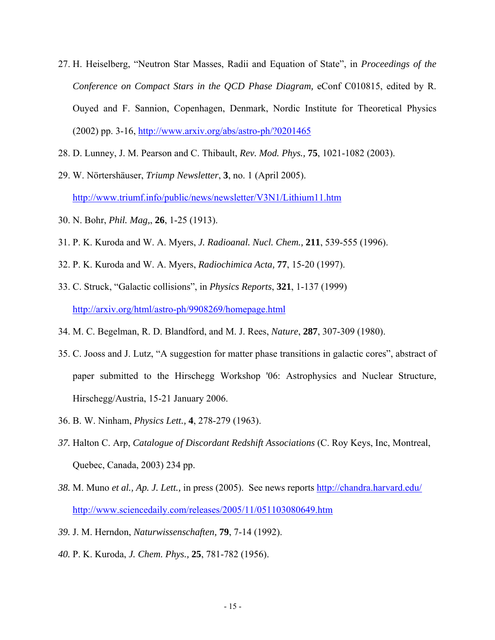- 27. H. Heiselberg, "Neutron Star Masses, Radii and Equation of State", in *Proceedings of the Conference on Compact Stars in the QCD Phase Diagram,* eConf C010815, edited by R. Ouyed and F. Sannion, Copenhagen, Denmark, Nordic Institute for Theoretical Physics (2002) pp. 3-16,<http://www.arxiv.org/abs/astro-ph/?0201465>
- 28. D. Lunney, J. M. Pearson and C. Thibault, *Rev. Mod. Phys.,* **75**, 1021-1082 (2003).
- 29. W. Nörtershäuser, *Triump Newsletter*, **3**, no. 1 (April 2005). <http://www.triumf.info/public/news/newsletter/V3N1/Lithium11.htm>
- 30. N. Bohr, *Phil. Mag,*, **26**, 1-25 (1913).
- 31. P. K. Kuroda and W. A. Myers, *J. Radioanal. Nucl. Chem.,* **211**, 539-555 (1996).
- 32. P. K. Kuroda and W. A. Myers, *Radiochimica Acta,* **77**, 15-20 (1997).
- 33. C. Struck, "Galactic collisions", in *Physics Reports*, **321**, 1-137 (1999) <http://arxiv.org/html/astro-ph/9908269/homepage.html>
- 34. M. C. Begelman, R. D. Blandford, and M. J. Rees, *Nature*, **287**, 307-309 (1980).
- 35. C. Jooss and J. Lutz, "A suggestion for matter phase transitions in galactic cores", abstract of paper submitted to the Hirschegg Workshop '06: Astrophysics and Nuclear Structure, Hirschegg/Austria, 15-21 January 2006.
- 36. B. W. Ninham, *Physics Lett.,* **4**, 278-279 (1963).
- *37.* Halton C. Arp, *Catalogue of Discordant Redshift Associations* (C. Roy Keys, Inc, Montreal, Quebec, Canada, 2003) 234 pp.
- *38.* M. Muno *et al., Ap. J. Lett.,* in press (2005). See news reports <http://chandra.harvard.edu/> <http://www.sciencedaily.com/releases/2005/11/051103080649.htm>
- *39.* J. M. Herndon, *Naturwissenschaften,* **79**, 7-14 (1992).
- *40.* P. K. Kuroda, *J. Chem. Phys.,* **25**, 781-782 (1956).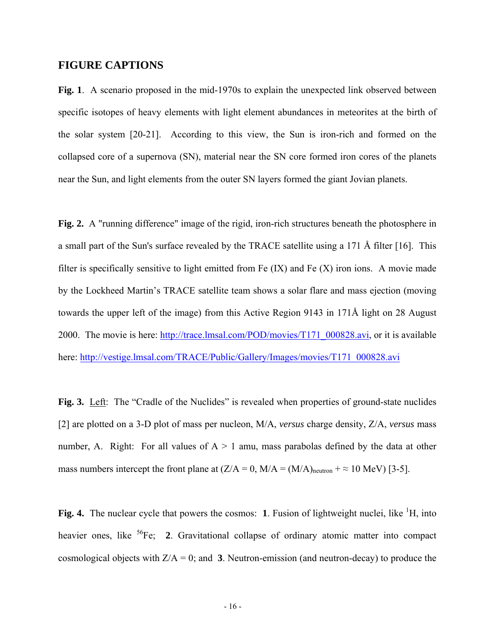# **FIGURE CAPTIONS**

**Fig. 1**. A scenario proposed in the mid-1970s to explain the unexpected link observed between specific isotopes of heavy elements with light element abundances in meteorites at the birth of the solar system [20-21]. According to this view, the Sun is iron-rich and formed on the collapsed core of a supernova (SN), material near the SN core formed iron cores of the planets near the Sun, and light elements from the outer SN layers formed the giant Jovian planets.

**Fig. 2.** A "running difference" image of the rigid, iron-rich structures beneath the photosphere in a small part of the Sun's surface revealed by the TRACE satellite using a 171 Å filter [16]. This filter is specifically sensitive to light emitted from Fe  $(IX)$  and Fe  $(X)$  iron ions. A movie made by the Lockheed Martin's TRACE satellite team shows a solar flare and mass ejection (moving towards the upper left of the image) from this Active Region 9143 in 171Å light on 28 August 2000. The movie is here: [http://trace.lmsal.com/POD/movies/T171\\_000828.avi,](http://trace.lmsal.com/POD/movies/T171_000828.avi) or it is available here: [http://vestige.lmsal.com/TRACE/Public/Gallery/Images/movies/T171\\_000828.avi](http://vestige.lmsal.com/TRACE/Public/Gallery/Images/movies/T171_000828.avi)

Fig. 3. Left: The "Cradle of the Nuclides" is revealed when properties of ground-state nuclides [2] are plotted on a 3-D plot of mass per nucleon, M/A, *versus* charge density, Z/A, *versus* mass number, A. Right: For all values of  $A > 1$  amu, mass parabolas defined by the data at other mass numbers intercept the front plane at  $(Z/A = 0, M/A = (M/A)_{neutron} + \approx 10 \text{ MeV})$  [3-5].

Fig. 4. The nuclear cycle that powers the cosmos: 1. Fusion of lightweight nuclei, like <sup>1</sup>H, into heavier ones, like <sup>56</sup>Fe; **2**. Gravitational collapse of ordinary atomic matter into compact cosmological objects with Z/A = 0; and **3**. Neutron-emission (and neutron-decay) to produce the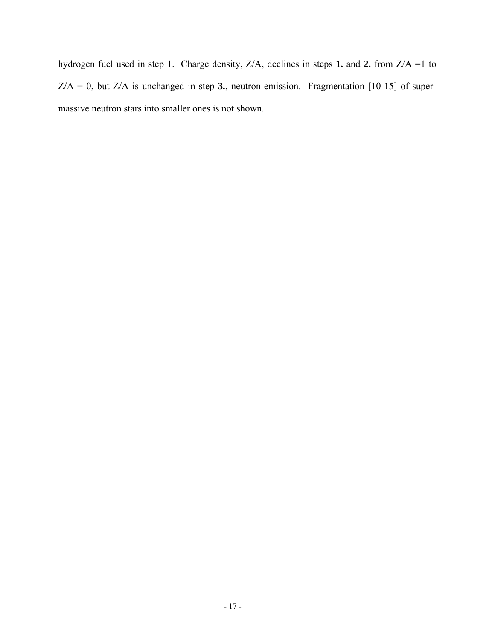hydrogen fuel used in step 1. Charge density, Z/A, declines in steps **1.** and **2.** from Z/A =1 to  $Z/A = 0$ , but  $Z/A$  is unchanged in step 3., neutron-emission. Fragmentation [10-15] of supermassive neutron stars into smaller ones is not shown.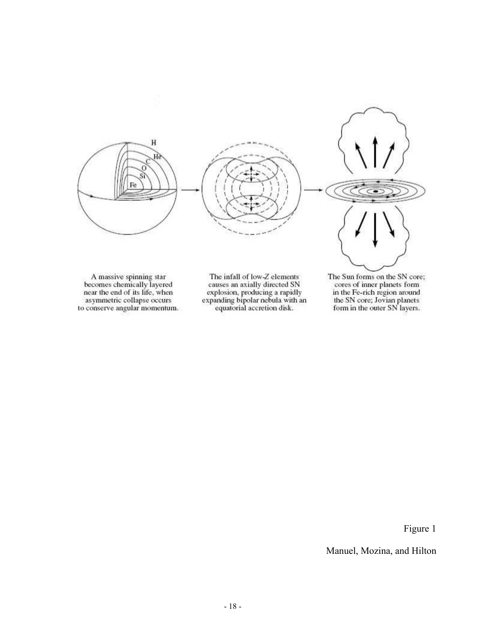

A massive spinning star<br>becomes chemically layered near the end of its life, when<br>asymmetric collapse occurs to conserve angular momentum.

The infall of low-Z elements causes an axially directed SN explosion, producing a rapidly<br>expanding bipolar nebula with an<br>equatorial accretion disk. The Sun forms on the SN core; the sun forms on the six core<br>cores of inner planets form<br>in the Fe-rich region around<br>the SN core; Jovian planets<br>form in the outer SN layers.

Figure 1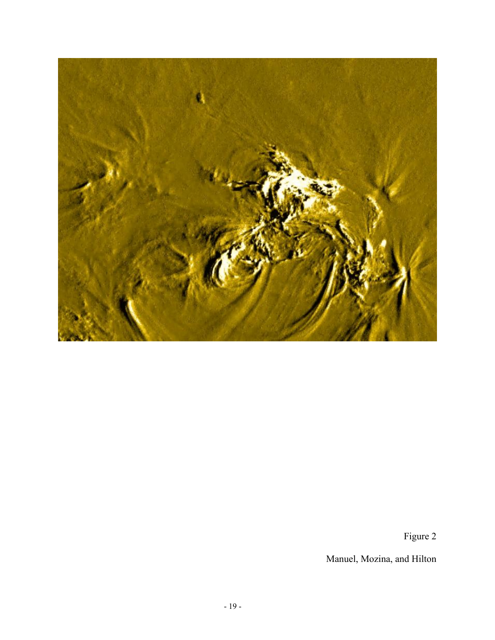

Figure 2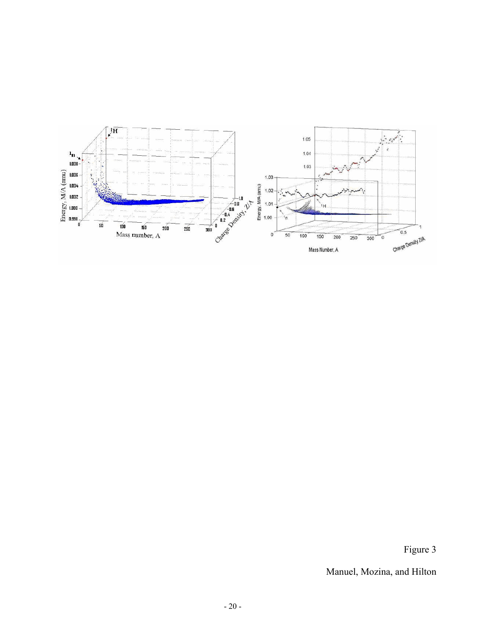

Figure 3